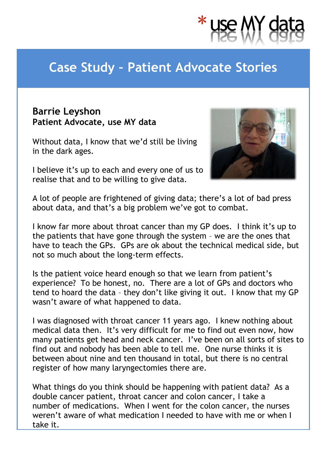

## **Case Study – Patient Advocate Stories**

## **Barrie Leyshon Patient Advocate, use MY data**

Without data, I know that we'd still be living in the dark ages.

I believe it's up to each and every one of us to realise that and to be willing to give data.



A lot of people are frightened of giving data; there's a lot of bad press about data, and that's a big problem we've got to combat.

I know far more about throat cancer than my GP does. I think it's up to the patients that have gone through the system – we are the ones that have to teach the GPs. GPs are ok about the technical medical side, but not so much about the long-term effects.

Is the patient voice heard enough so that we learn from patient's experience? To be honest, no. There are a lot of GPs and doctors who tend to hoard the data – they don't like giving it out. I know that my GP wasn't aware of what happened to data.

I was diagnosed with throat cancer 11 years ago. I knew nothing about medical data then. It's very difficult for me to find out even now, how many patients get head and neck cancer. I've been on all sorts of sites to find out and nobody has been able to tell me. One nurse thinks it is between about nine and ten thousand in total, but there is no central register of how many laryngectomies there are.

What things do you think should be happening with patient data? As a double cancer patient, throat cancer and colon cancer, I take a number of medications. When I went for the colon cancer, the nurses weren't aware of what medication I needed to have with me or when I take it.